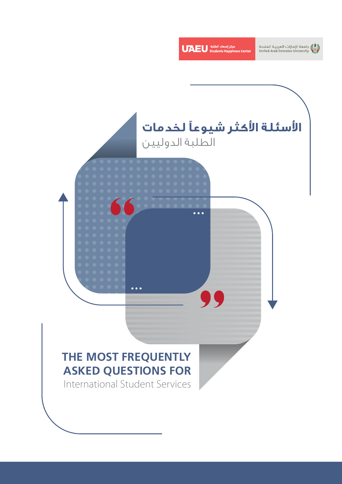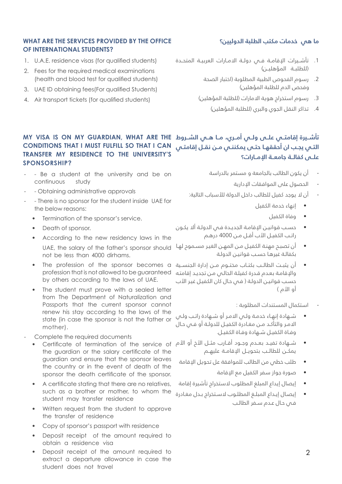## **ما هي خدمات مكتب الطلبة الدوليين؟**

## **WHAT ARE THE SERVICES PROVIDED BY THE OFFICE OF INTERNATIONAL STUDENTS?**

- 1. U.A.E. residence visas (for qualified students)
- 2. Fees for the required medical examinations (health and blood test for qualified students)
- 3. UAE ID obtaining fees (For qualified Students)
- 4. Air transport tickets (for qualified students)
- . تأشــيرات اإلقامــة فــي دولــة االمــارات العربيــة المتحــدة )للطلبــة المؤهليــن(
	- . رسوم الفحوص الطبية المطلوبة )اختبار الصحة وفحص الدم للطلبة المؤهلين(
	- 3. رسوم استخراج هوية الامارات (للطلبة المؤهلين)
		- 4. تذاكر النقل الجوي والبري (للطلبة المؤهلين)

## تأشـيرة إقامتــي علــي ولــي أمــري، مـا هــي الشــروط MY VISA IS ON MY GUARDIAN, WHAT ARE THE **التـي يجـب ان أحققهـا حتـى يمكننـي مـن نقــل إقامتـي CAN I THAT SO FULFILL MUST I THAT CONDITIONS TRANSFER MY RESIDENCE TO THE UNIVERSITY'S ?SPONSORSHIP**

- Be a student at the university and be on continuous study
- Obtaining administrative approvals
- There is no sponsor for the student inside UAE for the below reasons:
	- Termination of the sponsor's service.
	- Death of sponsor.
	- According to the new residency laws in the UAE, the salary of the father's sponsor should not be less than 4000 dirhams.
	- The profession of the sponsor becomes a profession that is not allowed to be quaranteed by others according to the laws of UAE.
	- The student must prove with a sealed letter from The Department of Naturalization and Passports that the current sponsor cannot renew his stay according to the laws of the state (in case the sponsor is not the father or mother).
- Complete the required documents
	- the guardian or the salary certificate of the guardian and ensure that the sponsor leaves the country or in the event of death of the sponsor the death certificate of the sponsor.
	- A certificate stating that there are no relatives, such as a brother or mother, to whom the student may transfer residence
	- Written request from the student to approve the transfer of residence
	- Copy of sponsor's passport with residence
	- Deposit receipt of the amount required to obtain a residence visa
	- Deposit receipt of the amount required to extract a departure allowance in case the student does not travel
- أن يكون الطالب بالجامعة و مستمر بالدراسة
	- الحصول على الموافقات اإلدارية

**علــى كفالــة جامعــة اإلمــارات؟**

- أن لا يوجد كفيل للطالب داخل الدولة للأسباب التالية:
	- إنهاء خدمة الكفيل
		- وفاة الكفيل
- حسـب قوانيـن اإلقامـة الجديـدة فـي الدولـة أال يكـون راتـب الكفيـل األب أقـل مـن 4000 درهـم
- أن تصبـح مهنـة الكفيـل مـن المهـن الغيـر مسـموح لهـا بكفالـة غيرهـا حسـب قوانيـن الدولـة
- أن يثبــت الطالــب بكتــاب مختــوم مــن إدارة الجنســية واإلقامـة بعـدم قـدرة كفيلـة الحالـي مـن تجديـد إقامتـه حسب قوانيـن الدولـة ( فـص حـال كان الكفيـل غيـر الأب أو الأم )
	- استكمال المستندات المطلوبة :
- شـهادة إنهـاء خدمـة ولـي االمـر أو شـهادة راتـب ولـي االمـر والتأكـد مـن مغـادرة الكفيـل للدولـة أو فـي حـال وفـاة الكفيـل شـهادة وفـاة الكفيـل.
- شــهادة تفيــد بعــدم وجــود اقــارب مثــل الأخ او الأم Certificate of termination of the service of يمكــن للطالــب بتحويــل اإلقامــة عليهــم
	- طلب خطي من الطالب للموافقة عل تحويل اإلقامة
		- صورة جواز سفر الكفيل مع اإلقامة
	- إيصال إيداع المبلغ المطلوب الستخراج تأشيرة إقامة
	- إيصـال إيـداع المبلـغ المطلـوب السـتخراج بـدل مغـادرة فـي حـال عـدم سـفر الطالـب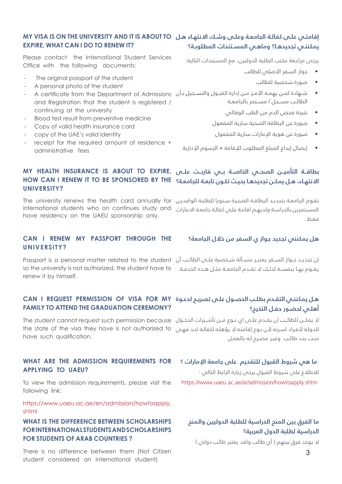#### إقامتـي علـي كفالـة الجامعـة وعلـي وشـك ال*ا*نتهـاء هـل MY VISA IS ON THE UNIVERSITY AND IT IS ABOUT TO **يمكننـي تجديدهـا؟ وماهـي المسـتندات المطلوبـة؟ EXPIRE, WHAT CAN I DO TO RENEW IT?**

Please contact the International Student Services Office with the following documents:

- The original passport of the student
- A personal photo of the student
- and Registration that the student is registered / continuing at the university
- Blood test result from preventive medicine
- Copy of valid health insurance card
- copy of the UAE's valid identity
- receipt for the required amount of residence + administrative fees

يرجى مراجعة مكتب الطلبة الدوليين، مع المستندات التالية:

- جواز السفر األصلي للطالب
	- صورة شخصية للطالب
- شــهادة لمــن يهمـه الأمـر مـن إدارة القبــول والتســجيل بـان A certificate from the Department of Admissions -الطالــب مســجل / مســتمر بالجامعــة
	- نتيجة فحص الدم من الطب الوقائي
	- صورة عن البطاقة الصحية سارية المفعول
		- صورة عن هوية اإلمارات سارية المفعول
	- إيصال إيداع المبلغ المطلوب لإلقامة + الرسوم اإلدارية

## **بطاقــة التأميــن الصحــي الخاصــة بــي قاربــت علــى ,EXPIRE TO ABOUT IS INSURANCE HEALTH MY** ال*ا*نتهاء، هـل يمكـن تجديدهـا بحيـث تكـون تابعـة للجامعـة؟ HOW CAN I RENEW IT TO BE SPONSORED BY THE **?UNIVERSITY**

تقـوم الجامعـة بتجديـد البطاقـة الصحيـة سـنويا للطلبـة الوافديـن The university renews the health card annually for المسـتمرين بالدراسـة ولديهـم اقامـة علـى كفالـة جامعـة الاـمارات international students who on continues study and have residency on the UAEU sponsorship only.

## **CAN I RENEW MY PASSPORT THROUGH THE ?UNIVERSITY**

إن تجديــد جــواز الســـفر يعتبــر مســالة شــخصية علــــس الطالــب ان Passport is a personal matter related to the student يقـوم بهـا بنفســه لذلـك لا تقـدم الجامعـة مثـل هـذه الخدمـة. so the university is not authorized, the student have to renew it by himself.

## **هـل يمكننـي التقـدم بطلـب الحصـول علـى تصريـح لدعـوة MY FOR VISA OF PERMISSION REQUEST I CAN FAMILY TO ATTEND THE GRADUATION CEREMONY?**

لا يمكــن للطالــب ان يقـدم علـــى اي نــوع مــن تاشــيرات الدخــول The student cannot request such permission because للدولـة لأفـراد اسـرته لأن نـوع إقامتـه لا يؤهلـه لكفالـة احـد فهـي the state of the visa they have is not authorized to have such aualification.

## **WHAT ARE THE ADMISSION REQUIREMENTS FOR APPLYING TO UAEU?**

To view the admission requirements, please visit the following link:

https://www.uaeu.ac.ae/en/admission/howtoapply. [shtml](https://www.uaeu.ac.ae/en/admission/howtoapply.shtml
)

## **WHAT IS THE DIFFERENCE BETWEEN SCHOLARSHIPS FORINTERNATIONAL STUDENTS AND SCHOLARSHIPS FOR STUDENTS OF ARAB COUNTRIES?**

There is no difference between them (Not Citizen student considered an international student)

#### **هل يمكنني تجديد جواز ي السفر من خالل الجامعة؟**

# **أهلـي لحضـور حفـل التخرج؟**

تحـت بنـد طالـب وغيـر مصـرح لـه بالعمـل

#### **ما هي شروط القبول للتقديم على جامعة اإلمارات ؟**

للاطلاع على شروط القبول يرجى زيارة الرابط التالي : https://www.uaeu.ac.ae/ar/admission/howtoapply.shtm

## **ما الفرق بين المنح الدراسية للطلبة الدوليين والمنح الدراسية لطلبة الدول العربية؟**

لا يوجد فرق بينهم ( أي طالب وافد يعتبر طالب دولى )

فقـط .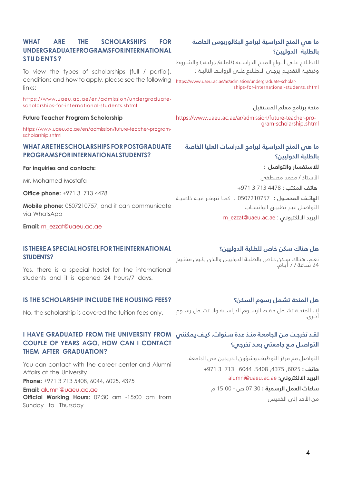## WHAT ARE THE SCHOLARSHIPS FOR **UNDERGRADUATEPROGRAMS FOR INTERNATIONAL ?STUDENTS**

conditions and how to apply, please see the following https://www.uaeu.ac.ae/ar/admission/undergraduate-scholar To view the types of scholarships (full / partial), links<sup>.</sup>

scholarships-for-international-students.shtml. https://www.uaeu.ac.ae/en/admission/undergraduate-

#### **Future Teacher Program Scholarship**

https://www.uaeu.ac.ae/en/admission/future-teacher-program-<br>scholarship.shtml

#### **WHAT ARE THE SCHOLARSHIPS FOR POSTGRADUATE PROGRAMS FOR INTERNATIONAL STUDENTS?**

#### **For inquiries and contacts:**

Mr Mohamed Mostafa

**Office phone: +971 3 713 4478** 

Mobile phone: 0507210757, and it can communicate via WhatsApp

#### **Email:** m\_ezzat@uaeu.ac.ae

#### **IS THERE A SPECIAL HOSTEL FOR THE INTERNATIONAL ?STUDENTS**

Yes, there is a special hostel for the international students and it is opened 24 hours/7 days.

#### **IS THE SCHOLARSHIP INCLUDE THE HOUSING FEES?**

No, the scholarship is covered the tuition fees only.

## **لقـد تخرجـت مـن الجامعـة منـذ عدة سـنوات. كيـف يمكنني FROM UNIVERSITY THE FROM GRADUATED HAVE I COUPLE OF YEARS AGO, HOW CAN I CONTACT THEM AFTER GRADUATION?**

You can contact with the career center and Alumni Affairs at the University **Phone:** +971 3 713 5408, 6044, 6025, 4375 **Email:** alumni@uaeu.ac.ae Official Working Hours: 07:30 am -15:00 pm from

Sunday to Thursday

## **ما هي المنح الدراسية لبرامج البكالوريوس الخاصة بالطلبة الدوليين؟**

للاطـلاع علــى أنــواع المنــح الدراســية (كاملــة/ جزئيــة ) والشــروط وكيفيــة التقديــم يرجــى االطــاع علــى الروابــط التاليــة :

shins-for-international-students-shtml.

#### منحة برنامج معلم المستقبل

https://www.uaeu.ac.ae/ar/admission/future-teacher-program-scholarship.shtml

# **ما هي المنح الدراسية لبرامج الدراسات العليا الخاصة بالطلبة الدوليين؟ لالستفسار والتواصل :**  األستاذ / محمد مصطفى

هاتف المكتب : 4478 713 3 +971 الهاتــف المحمــول : 0507210757 ، كمــا تتوفــر فيــه خاصيــة

التواصــل عبــر تطبيــق الواتســاب

m\_ezzat@uaeu.ac.ae : البريد الالكتروني :

## **هل هناك سكن خاص للطلبة الدوليين؟**

نعـم، هنـاك سـكن خـاص بالطلبـة الدولييـن والـذي يكـون مفتـوح 24 سـاعة / 7 أيـام.

## **هل المنحة تشمل رسوم السكن؟**

ال، المنحــة تشــمل فقــط الرســوم الدراســية وال تشــمل رســوم أخــرى.

# **التواصـل مـع جامعتي بعـد تخرجي؟**

التواصل مع مركز التوظيف وشؤون الخريجين في الجامعة. **هاتف :** ,6025 ,4375 ,5408 6044 713 3 +971 **البريد االلكتروني:** [ae.ac.uaeu@alumni](mailto:%20alumni%40uaeu.ac.ae%20?subject=)

**ساعات العمل الرسمية :** 07:30 ص - 15:00 م من الأحد إلى الخميس